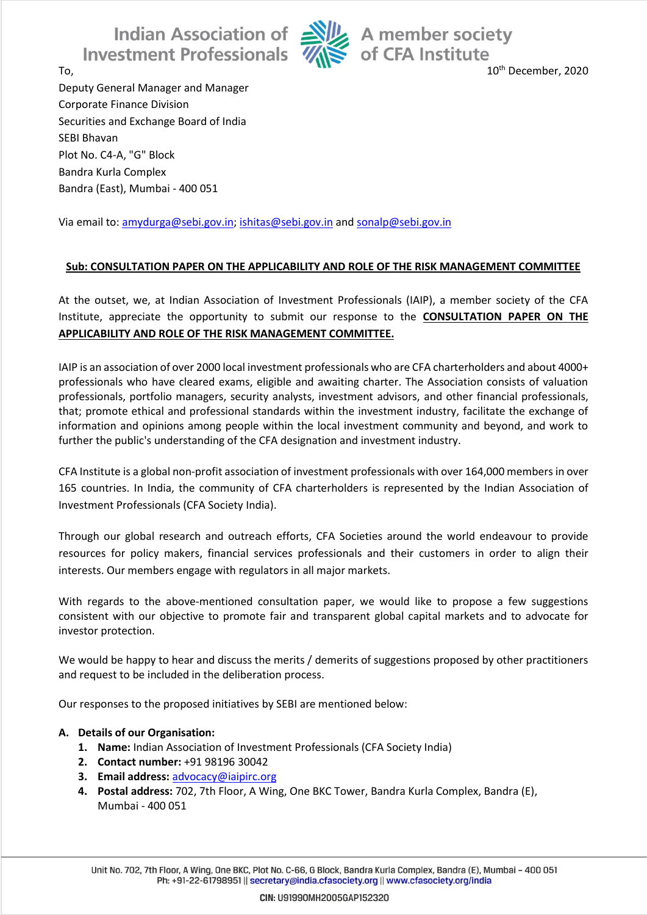Indian Association of Alle A member society<br>Investment Professionals We of CFA Institute



To, the contract of the contract of the contract of the contract of the December, 2020

Deputy General Manager and Manager Corporate Finance Division Securities and Exchange Board of India SEBI Bhavan Plot No. C4-A, "G" Block Bandra Kurla Complex Bandra (East), Mumbai - 400 051

Via email to: [amydurga@sebi.gov.in;](mailto:amydurga@sebi.gov.in) [ishitas@sebi.gov.in](mailto:ishitas@sebi.gov.in) and [sonalp@sebi.gov.in](file:///C:/Users/SSAMEER/Desktop/CFA%20Society/Risk%20Management/sonalp@sebi.gov.in)

## **Sub: CONSULTATION PAPER ON THE APPLICABILITY AND ROLE OF THE RISK MANAGEMENT COMMITTEE**

At the outset, we, at Indian Association of Investment Professionals (IAIP), a member society of the CFA Institute, appreciate the opportunity to submit our response to the **CONSULTATION PAPER ON THE APPLICABILITY AND ROLE OF THE RISK MANAGEMENT COMMITTEE.**

IAIP is an association of over 2000 local investment professionals who are CFA charterholders and about 4000+ professionals who have cleared exams, eligible and awaiting charter. The Association consists of valuation professionals, portfolio managers, security analysts, investment advisors, and other financial professionals, that; promote ethical and professional standards within the investment industry, facilitate the exchange of information and opinions among people within the local investment community and beyond, and work to further the public's understanding of the CFA designation and investment industry.

CFA Institute is a global non-profit association of investment professionals with over 164,000 members in over 165 countries. In India, the community of CFA charterholders is represented by the Indian Association of Investment Professionals (CFA Society India).

Through our global research and outreach efforts, CFA Societies around the world endeavour to provide resources for policy makers, financial services professionals and their customers in order to align their interests. Our members engage with regulators in all major markets.

With regards to the above-mentioned consultation paper, we would like to propose a few suggestions consistent with our objective to promote fair and transparent global capital markets and to advocate for investor protection.

We would be happy to hear and discuss the merits / demerits of suggestions proposed by other practitioners and request to be included in the deliberation process.

Our responses to the proposed initiatives by SEBI are mentioned below:

## **A. Details of our Organisation:**

- **1. Name:** Indian Association of Investment Professionals (CFA Society India)
- **2. Contact number:** +91 98196 30042
- **3. Email address:** [advocacy@iaipirc.org](mailto:advocacy@iaipirc.org)
- **4. Postal address:** 702, 7th Floor, A Wing, One BKC Tower, Bandra Kurla Complex, Bandra (E), Mumbai - 400 051

Unit No. 702, 7th Floor, A Wing, One BKC, Plot No. C-66, G Block, Bandra Kurla Complex, Bandra (E), Mumbai - 400 051 Ph: +91-22-61798951 || secretary@india.cfasociety.org || www.cfasociety.org/india

CIN: U91990MH2005GAP152320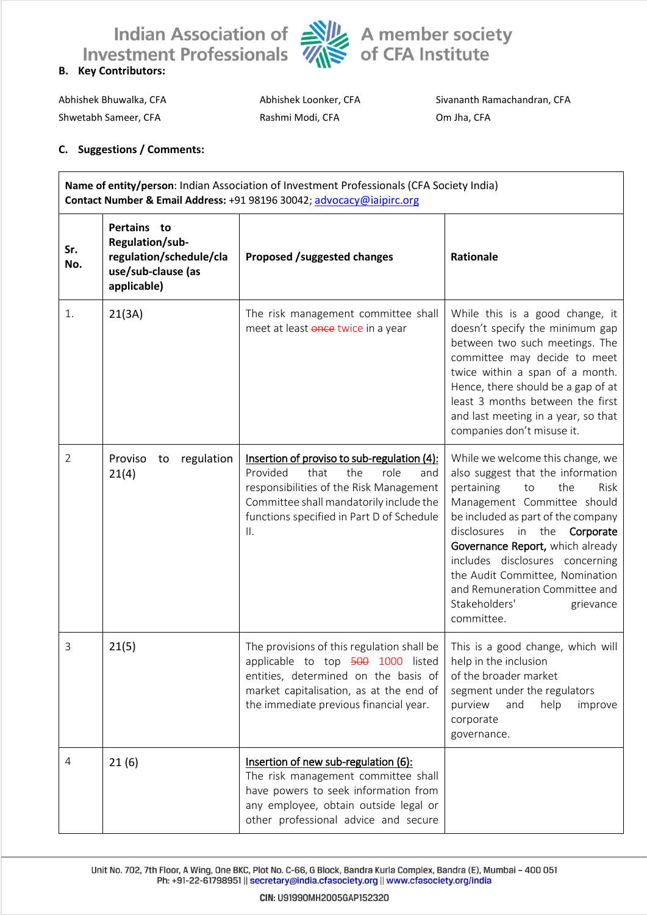



Shwetabh Sameer, CFA Rashmi Modi, CFA Om Jha, CFA

Abhishek Bhuwalka, CFA **Abhishek Loonker, CFA** Sivananth Ramachandran, CFA

## **C. Suggestions / Comments:**

| Name of entity/person: Indian Association of Investment Professionals (CFA Society India)<br>Contact Number & Email Address: +91 98196 30042; advocacy@iaipirc.org |                                                                                                |                                                                                                                                                                                                                                 |                                                                                                                                                                                                                                                                                                                                                                                                          |  |
|--------------------------------------------------------------------------------------------------------------------------------------------------------------------|------------------------------------------------------------------------------------------------|---------------------------------------------------------------------------------------------------------------------------------------------------------------------------------------------------------------------------------|----------------------------------------------------------------------------------------------------------------------------------------------------------------------------------------------------------------------------------------------------------------------------------------------------------------------------------------------------------------------------------------------------------|--|
| Sr.<br>No.                                                                                                                                                         | Pertains to<br>Regulation/sub-<br>regulation/schedule/cla<br>use/sub-clause (as<br>applicable) | <b>Proposed /suggested changes</b>                                                                                                                                                                                              | Rationale                                                                                                                                                                                                                                                                                                                                                                                                |  |
| 1.                                                                                                                                                                 | 21(3A)                                                                                         | The risk management committee shall<br>meet at least once twice in a year                                                                                                                                                       | While this is a good change, it<br>doesn't specify the minimum gap<br>between two such meetings. The<br>committee may decide to meet<br>twice within a span of a month.<br>Hence, there should be a gap of at<br>least 3 months between the first<br>and last meeting in a year, so that<br>companies don't misuse it.                                                                                   |  |
| 2                                                                                                                                                                  | regulation<br>Proviso<br>to<br>21(4)                                                           | Insertion of proviso to sub-regulation (4):<br>Provided<br>that<br>the<br>role<br>and<br>responsibilities of the Risk Management<br>Committee shall mandatorily include the<br>functions specified in Part D of Schedule<br>ΙΙ. | While we welcome this change, we<br>also suggest that the information<br>pertaining<br>to<br>the<br>Risk<br>Management Committee should<br>be included as part of the company<br>disclosures in the<br>Corporate<br>Governance Report, which already<br>includes disclosures concerning<br>the Audit Committee, Nomination<br>and Remuneration Committee and<br>Stakeholders'<br>grievance<br>committee. |  |
| 3                                                                                                                                                                  | 21(5)                                                                                          | The provisions of this regulation shall be<br>applicable to top 500 1000 listed<br>entities, determined on the basis of<br>market capitalisation, as at the end of<br>the immediate previous financial year.                    | This is a good change, which will<br>help in the inclusion<br>of the broader market<br>segment under the regulators<br>purview<br>and<br>help<br>improve<br>corporate<br>governance.                                                                                                                                                                                                                     |  |
| $\overline{4}$                                                                                                                                                     | 21(6)                                                                                          | Insertion of new sub-regulation (6):<br>The risk management committee shall<br>have powers to seek information from<br>any employee, obtain outside legal or<br>other professional advice and secure                            |                                                                                                                                                                                                                                                                                                                                                                                                          |  |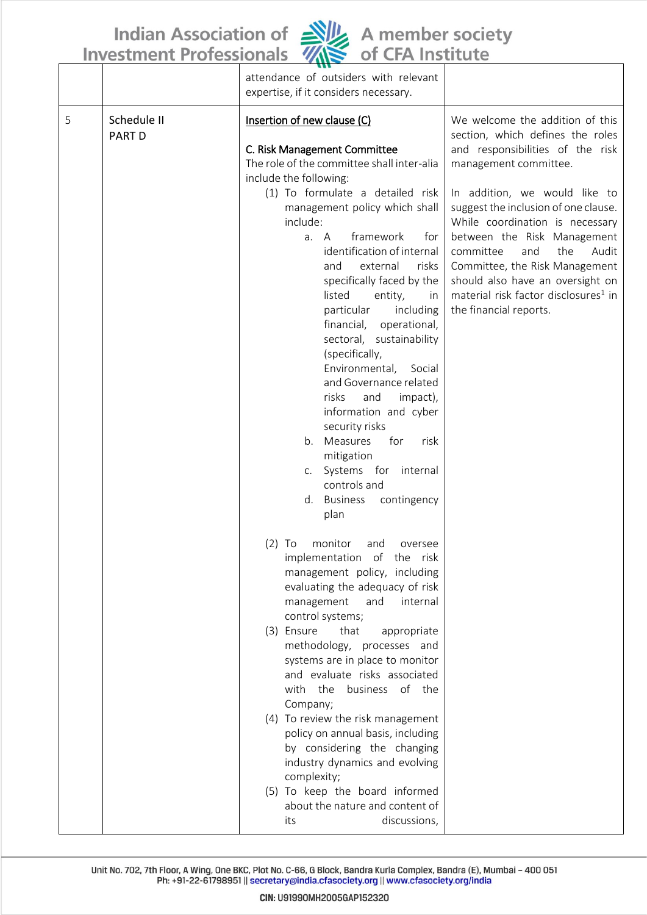Indian Association of **NU** A member society<br>Investment Professionals Antitute



|   |                              | attendance of outsiders with relevant<br>expertise, if it considers necessary.                                                                                                                                                                                                                                                                                                                                                                                                                                                                                                                                                                                                                                                                   |                                                                                                                                                                                                                                                                                                                                                                                                                                                                     |
|---|------------------------------|--------------------------------------------------------------------------------------------------------------------------------------------------------------------------------------------------------------------------------------------------------------------------------------------------------------------------------------------------------------------------------------------------------------------------------------------------------------------------------------------------------------------------------------------------------------------------------------------------------------------------------------------------------------------------------------------------------------------------------------------------|---------------------------------------------------------------------------------------------------------------------------------------------------------------------------------------------------------------------------------------------------------------------------------------------------------------------------------------------------------------------------------------------------------------------------------------------------------------------|
| 5 | Schedule II<br><b>PART D</b> | Insertion of new clause (C)<br>C. Risk Management Committee<br>The role of the committee shall inter-alia<br>include the following:<br>(1) To formulate a detailed risk<br>management policy which shall<br>include:<br>framework<br>for<br>a. A<br>identification of internal<br>external<br>and<br>risks<br>specifically faced by the<br>listed<br>entity,<br>in<br>particular<br>including<br>financial,<br>operational,<br>sectoral, sustainability<br>(specifically,<br>Environmental,<br>Social<br>and Governance related<br>risks<br>and<br>impact),<br>information and cyber<br>security risks<br>Measures<br>for<br>risk<br>b.<br>mitigation<br>c. Systems for internal<br>controls and<br><b>Business</b><br>contingency<br>d.<br>plan | We welcome the addition of this<br>section, which defines the roles<br>and responsibilities of the risk<br>management committee.<br>In addition, we would like to<br>suggest the inclusion of one clause.<br>While coordination is necessary<br>between the Risk Management<br>the<br>committee<br>and<br>Audit<br>Committee, the Risk Management<br>should also have an oversight on<br>material risk factor disclosures <sup>1</sup> in<br>the financial reports. |
|   |                              | (2) To<br>monitor<br>and<br>oversee<br>implementation of the risk<br>management policy, including<br>evaluating the adequacy of risk<br>management<br>and<br>internal<br>control systems;<br>(3) Ensure<br>that<br>appropriate<br>methodology, processes and<br>systems are in place to monitor<br>and evaluate risks associated<br>with the<br>business of the<br>Company;<br>(4) To review the risk management<br>policy on annual basis, including<br>by considering the changing<br>industry dynamics and evolving<br>complexity;<br>(5) To keep the board informed<br>about the nature and content of<br>discussions,<br>its                                                                                                                |                                                                                                                                                                                                                                                                                                                                                                                                                                                                     |

Unit No. 702, 7th Floor, A Wing, One BKC, Plot No. C-66, G Block, Bandra Kurla Complex, Bandra (E), Mumbai - 400 051<br>Ph: +91-22-61798951 || secretary@india.cfasociety.org || www.cfasociety.org/india